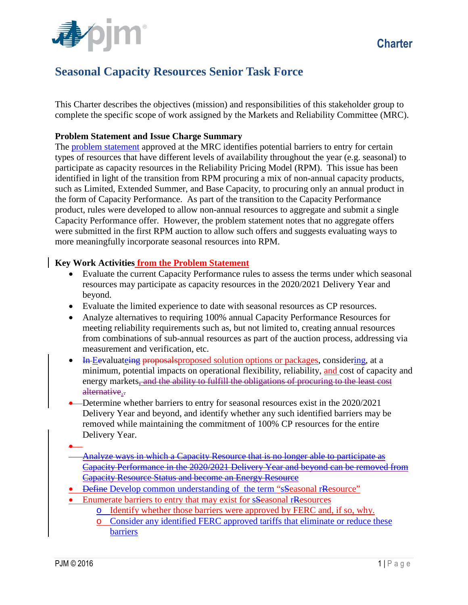

# **Seasonal Capacity Resources Senior Task Force**

This Charter describes the objectives (mission) and responsibilities of this stakeholder group to complete the specific scope of work assigned by the Markets and Reliability Committee (MRC).

## **Problem Statement and Issue Charge Summary**

The [problem statement](http://www.pjm.com/%7E/media/committees-groups/committees/mrc/20160128/20160128-item-08-seasonal-resource-problem-statement.ashx) approved at the MRC identifies potential barriers to entry for certain types of resources that have different levels of availability throughout the year (e.g. seasonal) to participate as capacity resources in the Reliability Pricing Model (RPM). This issue has been identified in light of the transition from RPM procuring a mix of non-annual capacity products, such as Limited, Extended Summer, and Base Capacity, to procuring only an annual product in the form of Capacity Performance. As part of the transition to the Capacity Performance product, rules were developed to allow non-annual resources to aggregate and submit a single Capacity Performance offer. However, the problem statement notes that no aggregate offers were submitted in the first RPM auction to allow such offers and suggests evaluating ways to more meaningfully incorporate seasonal resources into RPM.

## **Key Work Activities from the Problem Statement**

- Evaluate the current Capacity Performance rules to assess the terms under which seasonal resources may participate as capacity resources in the 2020/2021 Delivery Year and beyond.
- Evaluate the limited experience to date with seasonal resources as CP resources.
- Analyze alternatives to requiring 100% annual Capacity Performance Resources for meeting reliability requirements such as, but not limited to, creating annual resources from combinations of sub-annual resources as part of the auction process, addressing via measurement and verification, etc.
- $\bullet$  In Eevaluateing proposals proposed solution options or packages, considering, at a minimum, potential impacts on operational flexibility, reliability, and cost of capacity and energy markets, and the ability to fulfill the obligations of procuring to the least cost alternative..
- Determine whether barriers to entry for seasonal resources exist in the 2020/2021 Delivery Year and beyond, and identify whether any such identified barriers may be removed while maintaining the commitment of 100% CP resources for the entire Delivery Year.
- •
- Analyze ways in which a Capacity Resource that is no longer able to participate as Capacity Performance in the 2020/2021 Delivery Year and beyond can be removed from Capacity Resource Status and become an Energy Resource
- <del>Define</del> Develop common understanding of the term "sSeasonal rResource"
- Enumerate barriers to entry that may exist for sSeasonal rResources
	- o Identify whether those barriers were approved by FERC and, if so, why.
	- o Consider any identified FERC approved tariffs that eliminate or reduce these barriers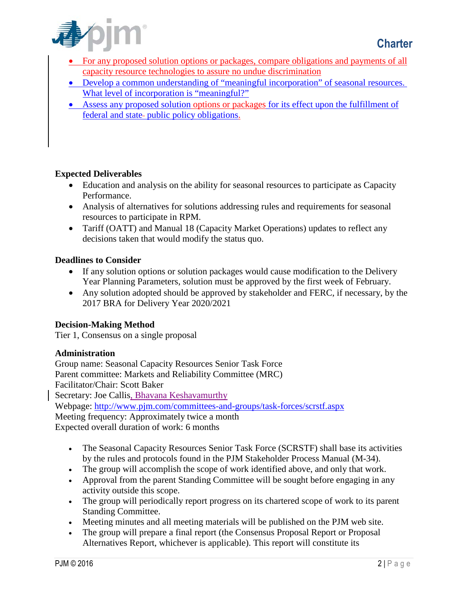

- For any proposed solution options or packages, compare obligations and payments of all capacity resource technologies to assure no undue discrimination
- Develop a common understanding of "meaningful incorporation" of seasonal resources. What level of incorporation is "meaningful?"
- Assess any proposed solution options or packages for its effect upon the fulfillment of federal and state-public policy obligations.

# **Expected Deliverables**

- Education and analysis on the ability for seasonal resources to participate as Capacity Performance.
- Analysis of alternatives for solutions addressing rules and requirements for seasonal resources to participate in RPM.
- Tariff (OATT) and Manual 18 (Capacity Market Operations) updates to reflect any decisions taken that would modify the status quo.

#### **Deadlines to Consider**

- If any solution options or solution packages would cause modification to the Delivery Year Planning Parameters, solution must be approved by the first week of February.
- Any solution adopted should be approved by stakeholder and FERC, if necessary, by the 2017 BRA for Delivery Year 2020/2021

# **Decision-Making Method**

Tier 1, Consensus on a single proposal

#### **Administration**

Group name: Seasonal Capacity Resources Senior Task Force Parent committee: Markets and Reliability Committee (MRC) Facilitator/Chair: Scott Baker Secretary: Joe Callis, Bhavana Keshavamurthy Webpage:<http://www.pjm.com/committees-and-groups/task-forces/scrstf.aspx> Meeting frequency: Approximately twice a month

Expected overall duration of work: 6 months

- The Seasonal Capacity Resources Senior Task Force (SCRSTF) shall base its activities by the rules and protocols found in the PJM Stakeholder Process Manual (M-34).
- The group will accomplish the scope of work identified above, and only that work.
- Approval from the parent Standing Committee will be sought before engaging in any activity outside this scope.
- The group will periodically report progress on its chartered scope of work to its parent Standing Committee.
- Meeting minutes and all meeting materials will be published on the PJM web site.
- The group will prepare a final report (the Consensus Proposal Report or Proposal Alternatives Report, whichever is applicable). This report will constitute its